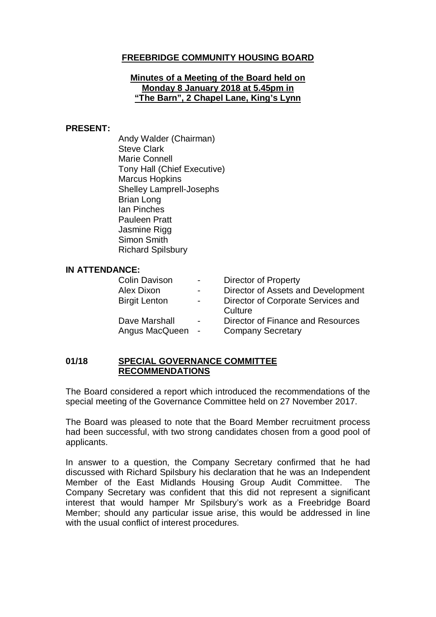# **FREEBRIDGE COMMUNITY HOUSING BOARD**

### **Minutes of a Meeting of the Board held on Monday 8 January 2018 at 5.45pm in "The Barn", 2 Chapel Lane, King's Lynn**

#### **PRESENT:**

Andy Walder (Chairman) Steve Clark Marie Connell Tony Hall (Chief Executive) Marcus Hopkins Shelley Lamprell-Josephs Brian Long Ian Pinches Pauleen Pratt Jasmine Rigg Simon Smith Richard Spilsbury

#### **IN ATTENDANCE:**

| <b>Colin Davison</b> | $\sim 100$     | <b>Director of Property</b>        |
|----------------------|----------------|------------------------------------|
| Alex Dixon           | $\sim$         | Director of Assets and Development |
| <b>Birgit Lenton</b> | $\blacksquare$ | Director of Corporate Services and |
|                      |                | Culture                            |
| Dave Marshall        | $\blacksquare$ | Director of Finance and Resources  |
| Angus MacQueen       | $\sim$         | <b>Company Secretary</b>           |

#### **01/18 SPECIAL GOVERNANCE COMMITTEE RECOMMENDATIONS**

The Board considered a report which introduced the recommendations of the special meeting of the Governance Committee held on 27 November 2017.

The Board was pleased to note that the Board Member recruitment process had been successful, with two strong candidates chosen from a good pool of applicants.

In answer to a question, the Company Secretary confirmed that he had discussed with Richard Spilsbury his declaration that he was an Independent Member of the East Midlands Housing Group Audit Committee. The Company Secretary was confident that this did not represent a significant interest that would hamper Mr Spilsbury's work as a Freebridge Board Member; should any particular issue arise, this would be addressed in line with the usual conflict of interest procedures.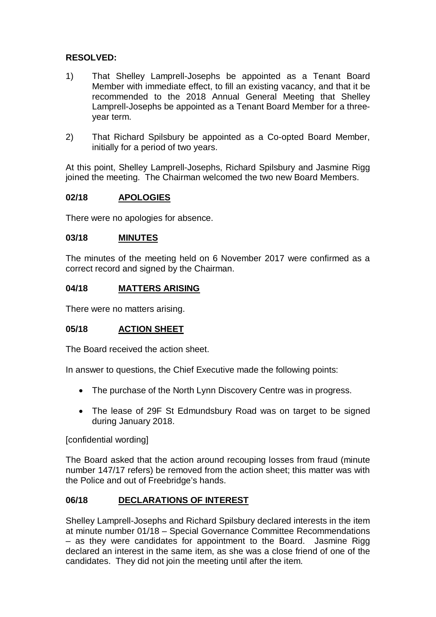# **RESOLVED:**

- 1) That Shelley Lamprell-Josephs be appointed as a Tenant Board Member with immediate effect, to fill an existing vacancy, and that it be recommended to the 2018 Annual General Meeting that Shelley Lamprell-Josephs be appointed as a Tenant Board Member for a threeyear term.
- 2) That Richard Spilsbury be appointed as a Co-opted Board Member, initially for a period of two years.

At this point, Shelley Lamprell-Josephs, Richard Spilsbury and Jasmine Rigg joined the meeting. The Chairman welcomed the two new Board Members.

## **02/18 APOLOGIES**

There were no apologies for absence.

### **03/18 MINUTES**

The minutes of the meeting held on 6 November 2017 were confirmed as a correct record and signed by the Chairman.

#### **04/18 MATTERS ARISING**

There were no matters arising.

### **05/18 ACTION SHEET**

The Board received the action sheet.

In answer to questions, the Chief Executive made the following points:

- The purchase of the North Lynn Discovery Centre was in progress.
- The lease of 29F St Edmundsbury Road was on target to be signed during January 2018.

[confidential wording]

The Board asked that the action around recouping losses from fraud (minute number 147/17 refers) be removed from the action sheet; this matter was with the Police and out of Freebridge's hands.

### **06/18 DECLARATIONS OF INTEREST**

Shelley Lamprell-Josephs and Richard Spilsbury declared interests in the item at minute number 01/18 – Special Governance Committee Recommendations – as they were candidates for appointment to the Board. Jasmine Rigg declared an interest in the same item, as she was a close friend of one of the candidates. They did not join the meeting until after the item.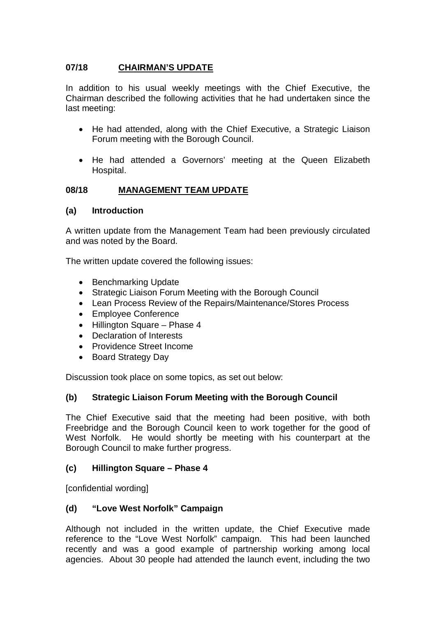# **07/18 CHAIRMAN'S UPDATE**

In addition to his usual weekly meetings with the Chief Executive, the Chairman described the following activities that he had undertaken since the last meeting:

- He had attended, along with the Chief Executive, a Strategic Liaison Forum meeting with the Borough Council.
- He had attended a Governors' meeting at the Queen Elizabeth Hospital.

# **08/18 MANAGEMENT TEAM UPDATE**

### **(a) Introduction**

A written update from the Management Team had been previously circulated and was noted by the Board.

The written update covered the following issues:

- Benchmarking Update
- Strategic Liaison Forum Meeting with the Borough Council
- Lean Process Review of the Repairs/Maintenance/Stores Process
- Employee Conference
- Hillington Square Phase 4
- Declaration of Interests
- Providence Street Income
- Board Strategy Day

Discussion took place on some topics, as set out below:

### **(b) Strategic Liaison Forum Meeting with the Borough Council**

The Chief Executive said that the meeting had been positive, with both Freebridge and the Borough Council keen to work together for the good of West Norfolk. He would shortly be meeting with his counterpart at the Borough Council to make further progress.

### **(c) Hillington Square – Phase 4**

[confidential wording]

### **(d) "Love West Norfolk" Campaign**

Although not included in the written update, the Chief Executive made reference to the "Love West Norfolk" campaign. This had been launched recently and was a good example of partnership working among local agencies. About 30 people had attended the launch event, including the two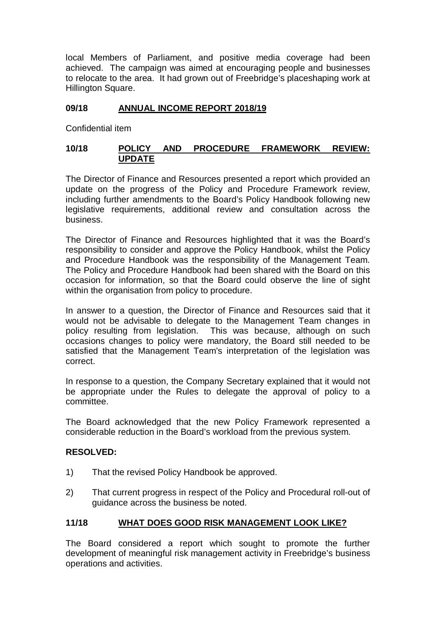local Members of Parliament, and positive media coverage had been achieved. The campaign was aimed at encouraging people and businesses to relocate to the area. It had grown out of Freebridge's placeshaping work at Hillington Square.

## **09/18 ANNUAL INCOME REPORT 2018/19**

Confidential item

## **10/18 POLICY AND PROCEDURE FRAMEWORK REVIEW: UPDATE**

The Director of Finance and Resources presented a report which provided an update on the progress of the Policy and Procedure Framework review, including further amendments to the Board's Policy Handbook following new legislative requirements, additional review and consultation across the business.

The Director of Finance and Resources highlighted that it was the Board's responsibility to consider and approve the Policy Handbook, whilst the Policy and Procedure Handbook was the responsibility of the Management Team. The Policy and Procedure Handbook had been shared with the Board on this occasion for information, so that the Board could observe the line of sight within the organisation from policy to procedure.

In answer to a question, the Director of Finance and Resources said that it would not be advisable to delegate to the Management Team changes in policy resulting from legislation. This was because, although on such occasions changes to policy were mandatory, the Board still needed to be satisfied that the Management Team's interpretation of the legislation was correct.

In response to a question, the Company Secretary explained that it would not be appropriate under the Rules to delegate the approval of policy to a committee.

The Board acknowledged that the new Policy Framework represented a considerable reduction in the Board's workload from the previous system.

### **RESOLVED:**

- 1) That the revised Policy Handbook be approved.
- 2) That current progress in respect of the Policy and Procedural roll-out of guidance across the business be noted.

# **11/18 WHAT DOES GOOD RISK MANAGEMENT LOOK LIKE?**

The Board considered a report which sought to promote the further development of meaningful risk management activity in Freebridge's business operations and activities.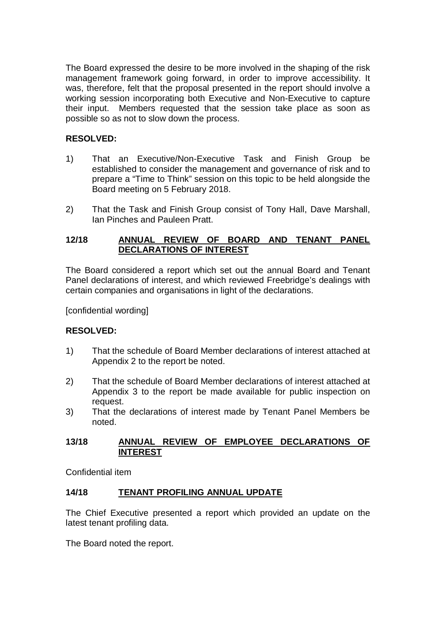The Board expressed the desire to be more involved in the shaping of the risk management framework going forward, in order to improve accessibility. It was, therefore, felt that the proposal presented in the report should involve a working session incorporating both Executive and Non-Executive to capture their input. Members requested that the session take place as soon as possible so as not to slow down the process.

# **RESOLVED:**

- 1) That an Executive/Non-Executive Task and Finish Group be established to consider the management and governance of risk and to prepare a "Time to Think" session on this topic to be held alongside the Board meeting on 5 February 2018.
- 2) That the Task and Finish Group consist of Tony Hall, Dave Marshall, Ian Pinches and Pauleen Pratt.

## **12/18 ANNUAL REVIEW OF BOARD AND TENANT PANEL DECLARATIONS OF INTEREST**

The Board considered a report which set out the annual Board and Tenant Panel declarations of interest, and which reviewed Freebridge's dealings with certain companies and organisations in light of the declarations.

[confidential wording]

### **RESOLVED:**

- 1) That the schedule of Board Member declarations of interest attached at Appendix 2 to the report be noted.
- 2) That the schedule of Board Member declarations of interest attached at Appendix 3 to the report be made available for public inspection on request.
- 3) That the declarations of interest made by Tenant Panel Members be noted.

#### **13/18 ANNUAL REVIEW OF EMPLOYEE DECLARATIONS OF INTEREST**

Confidential item

### **14/18 TENANT PROFILING ANNUAL UPDATE**

The Chief Executive presented a report which provided an update on the latest tenant profiling data.

The Board noted the report.